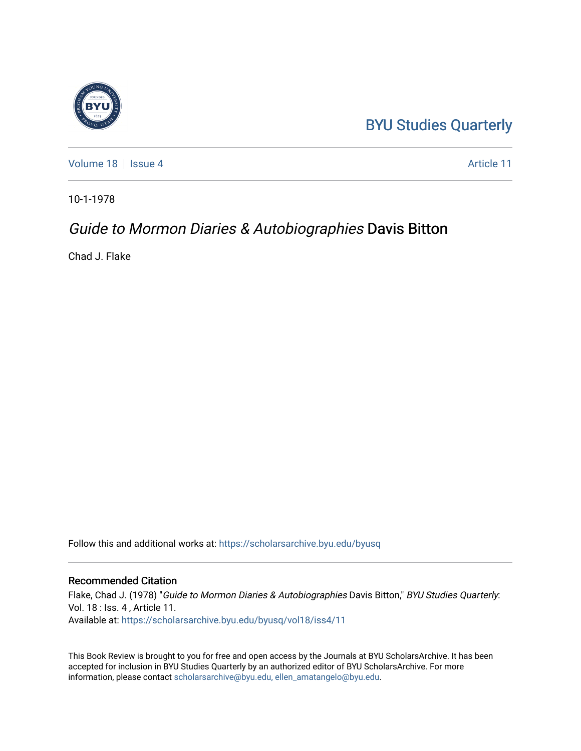## [BYU Studies Quarterly](https://scholarsarchive.byu.edu/byusq)

[Volume 18](https://scholarsarchive.byu.edu/byusq/vol18) | [Issue 4](https://scholarsarchive.byu.edu/byusq/vol18/iss4) Article 11

10-1-1978

## Guide to Mormon Diaries & Autobiographies Davis Bitton

Chad J. Flake

Follow this and additional works at: [https://scholarsarchive.byu.edu/byusq](https://scholarsarchive.byu.edu/byusq?utm_source=scholarsarchive.byu.edu%2Fbyusq%2Fvol18%2Fiss4%2F11&utm_medium=PDF&utm_campaign=PDFCoverPages) 

## Recommended Citation

Flake, Chad J. (1978) "Guide to Mormon Diaries & Autobiographies Davis Bitton," BYU Studies Quarterly: Vol. 18 : Iss. 4 , Article 11. Available at: [https://scholarsarchive.byu.edu/byusq/vol18/iss4/11](https://scholarsarchive.byu.edu/byusq/vol18/iss4/11?utm_source=scholarsarchive.byu.edu%2Fbyusq%2Fvol18%2Fiss4%2F11&utm_medium=PDF&utm_campaign=PDFCoverPages) 

This Book Review is brought to you for free and open access by the Journals at BYU ScholarsArchive. It has been accepted for inclusion in BYU Studies Quarterly by an authorized editor of BYU ScholarsArchive. For more information, please contact [scholarsarchive@byu.edu, ellen\\_amatangelo@byu.edu.](mailto:scholarsarchive@byu.edu,%20ellen_amatangelo@byu.edu)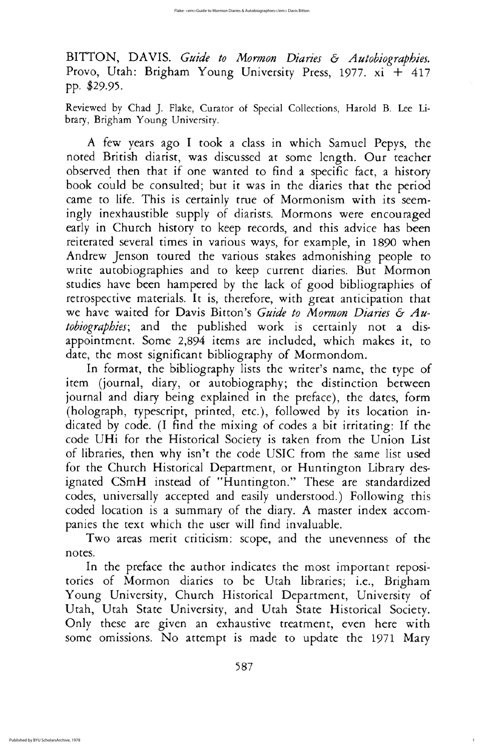In format, the bibliography lists the writer's name, the type of item (journal, diary, or autobiography; the distinction between journal and diary being explained in the preface), the dates, form (holograph, typescript, printed, etc.), followed by its location indicated by code. (I find the mixing of codes a bit irritating: If the code UHi for the Historical Society is taken from the Union List of libraries, then why isn't the code USIC from the same list used for the Church Historical Department, or Huntington Library designated CSmH instead of "Huntington." These are standardized codes, universally accepted and easily understood.) Following this coded location is a summary of the diary. A master index accompanies the text which the user will find invaluable

Two areas merit criticism: scope, and the unevenness of the notes

In the preface the author indicates the most important repositories of Mormon diaries to be Utah libraries; i.e., Brigham Young University, Church Historical Department, University of Utah, Utah State University, and Utah State Historical Society. Only these are given an exhaustive treatment, even here with some omissions. No attempt is made to update the 1971 Mary

587

1

BITTON, DAVIS. Guide to Mormon Diaries & Autobiographies. Provo, Utah: Brigham Young University Press, 1977. xi + 417 pp. \$29.95.

Reviewed by Chad J. Flake, Curator of Special Collections, Harold B. Lee Library, Brigham Young University.

A few years ago I took a class in which Samuel Pepys, the noted British diarist, was discussed at some length. Our teacher observed then that if one wanted to find a specific fact, a history book could be consulted; but it was in the diaries that the period came to life. This is certainly true of Mormonism with its seemingly inexhaustible supply of diarists. Mormons were encouraged early in Church history to keep records, and this advice has been reiterated several times in various ways, for example, in 1890 when Andrew Jenson toured the various stakes admonishing people to write autobiographies and to keep current diaries. But Mormon studies have been hampered by the lack of good bibliographies of retrospective materials. It is, therefore, with great anticipation that we have waited for Davis Bitton's Guide to Mormon Diaries & Autobiographies; and the published work is certainly not a disappointment. Some 2,894 items are included, which makes it, to date, the most significant bibliography of Mormondom.